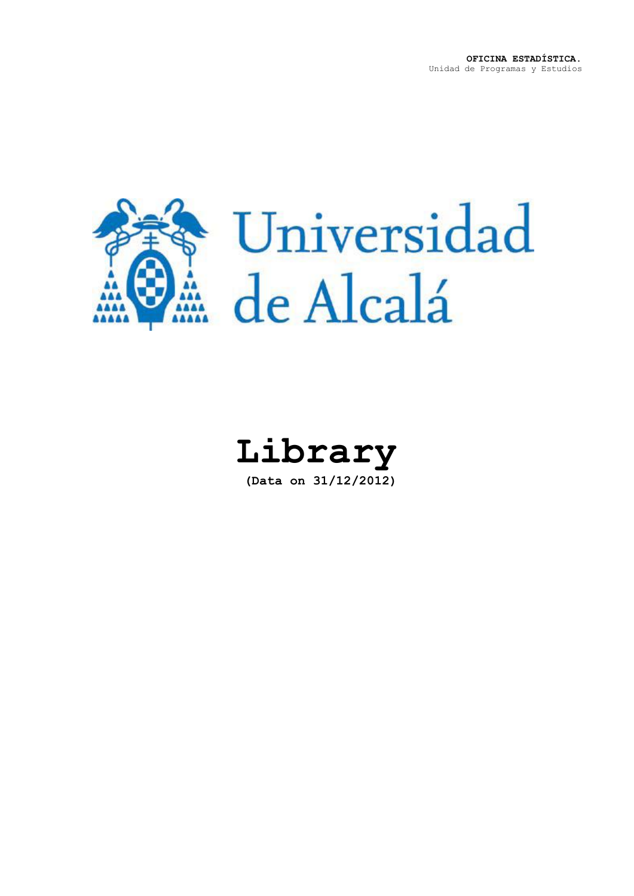

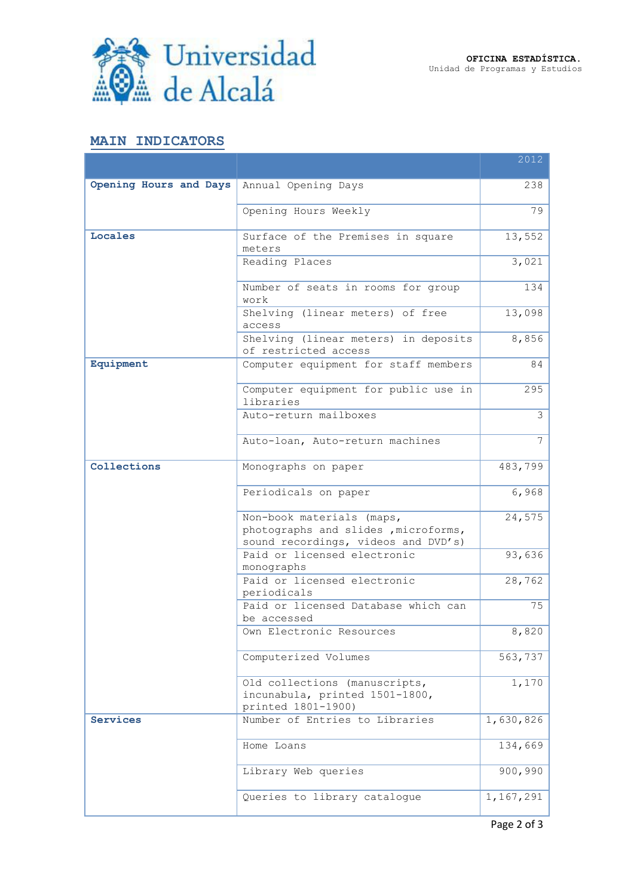

## **MAIN INDICATORS**

|                                            |                                                                                                          | 2012           |
|--------------------------------------------|----------------------------------------------------------------------------------------------------------|----------------|
| Opening Hours and Days Annual Opening Days |                                                                                                          | 238            |
|                                            | Opening Hours Weekly                                                                                     | 79             |
| Locales                                    | Surface of the Premises in square<br>meters                                                              | 13,552         |
|                                            | Reading Places                                                                                           | 3,021          |
|                                            | Number of seats in rooms for group<br>work                                                               | 134            |
|                                            | Shelving (linear meters) of free<br>access                                                               | 13,098         |
|                                            | Shelving (linear meters) in deposits<br>of restricted access                                             | 8,856          |
| Equipment                                  | Computer equipment for staff members                                                                     | 84             |
|                                            | Computer equipment for public use in<br>libraries                                                        | 295            |
|                                            | Auto-return mailboxes                                                                                    | $\overline{3}$ |
|                                            | Auto-loan, Auto-return machines                                                                          | $\overline{7}$ |
| Collections                                | Monographs on paper                                                                                      | 483,799        |
|                                            | Periodicals on paper                                                                                     | 6,968          |
|                                            | Non-book materials (maps,<br>photographs and slides , microforms,<br>sound recordings, videos and DVD's) | 24,575         |
|                                            | Paid or licensed electronic<br>monographs                                                                | 93,636         |
|                                            | Paid or licensed electronic<br>periodicals                                                               | 28,762         |
|                                            | Paid or licensed Database which can<br>be accessed                                                       | 75             |
|                                            | Own Electronic Resources                                                                                 | 8,820          |
|                                            | Computerized Volumes                                                                                     | 563,737        |
|                                            | Old collections (manuscripts,<br>incunabula, printed 1501-1800,<br>printed 1801-1900)                    | 1,170          |
| <b>Services</b>                            | Number of Entries to Libraries                                                                           | 1,630,826      |
|                                            | Home Loans                                                                                               | 134,669        |
|                                            | Library Web queries                                                                                      | 900,990        |
|                                            | Queries to library catalogue                                                                             | 1,167,291      |